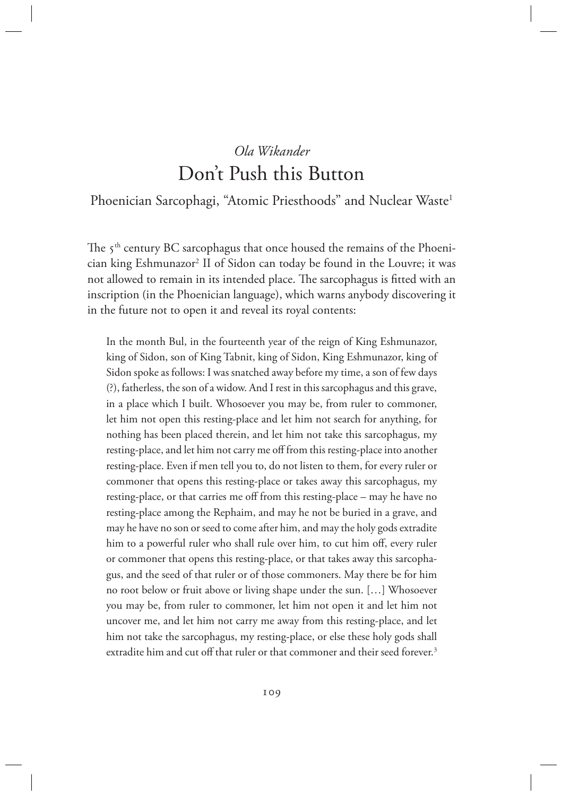# *Ola Wikander* Don't Push this Button

# Phoenician Sarcophagi, "Atomic Priesthoods" and Nuclear Waste<sup>1</sup>

The  $5<sup>th</sup>$  century BC sarcophagus that once housed the remains of the Phoenician king Eshmunazor<sup>2</sup> II of Sidon can today be found in the Louvre; it was not allowed to remain in its intended place. The sarcophagus is fitted with an inscription (in the Phoenician language), which warns anybody discovering it in the future not to open it and reveal its royal contents:

In the month Bul, in the fourteenth year of the reign of King Eshmunazor, king of Sidon, son of King Tabnit, king of Sidon, King Eshmunazor, king of Sidon spoke as follows: I was snatched away before my time, a son of few days (?), fatherless, the son of a widow. And I rest in this sarcophagus and this grave, in a place which I built. Whosoever you may be, from ruler to commoner, let him not open this resting-place and let him not search for anything, for nothing has been placed therein, and let him not take this sarcophagus, my resting-place, and let him not carry me off from this resting-place into another resting-place. Even if men tell you to, do not listen to them, for every ruler or commoner that opens this resting-place or takes away this sarcophagus, my resting-place, or that carries me off from this resting-place – may he have no resting-place among the Rephaim, and may he not be buried in a grave, and may he have no son or seed to come after him, and may the holy gods extradite him to a powerful ruler who shall rule over him, to cut him off, every ruler or commoner that opens this resting-place, or that takes away this sarcophagus, and the seed of that ruler or of those commoners. May there be for him no root below or fruit above or living shape under the sun. […] Whosoever you may be, from ruler to commoner, let him not open it and let him not uncover me, and let him not carry me away from this resting-place, and let him not take the sarcophagus, my resting-place, or else these holy gods shall extradite him and cut off that ruler or that commoner and their seed forever.<sup>3</sup>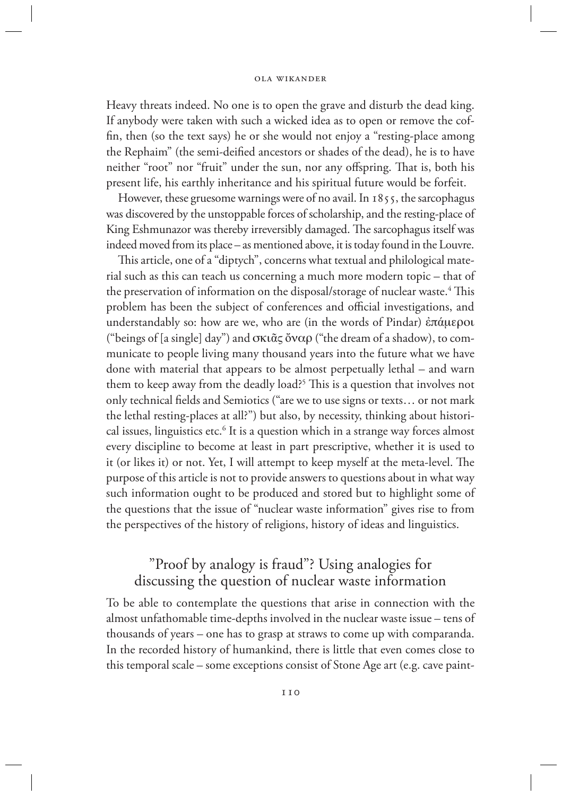Heavy threats indeed. No one is to open the grave and disturb the dead king. If anybody were taken with such a wicked idea as to open or remove the coffin, then (so the text says) he or she would not enjoy a "resting-place among the Rephaim" (the semi-deified ancestors or shades of the dead), he is to have neither "root" nor "fruit" under the sun, nor any offspring. That is, both his present life, his earthly inheritance and his spiritual future would be forfeit.

However, these gruesome warnings were of no avail. In 1855, the sarcophagus was discovered by the unstoppable forces of scholarship, and the resting-place of King Eshmunazor was thereby irreversibly damaged. The sarcophagus itself was indeed moved from its place – as mentioned above, it is today found in the Louvre.

This article, one of a "diptych", concerns what textual and philological material such as this can teach us concerning a much more modern topic – that of the preservation of information on the disposal/storage of nuclear waste.<sup>4</sup> This problem has been the subject of conferences and official investigations, and understandably so: how are we, who are (in the words of Pindar) ἐπάμεροι ("beings of [a single] day") and σκιᾶς ὄναρ ("the dream of a shadow), to communicate to people living many thousand years into the future what we have done with material that appears to be almost perpetually lethal – and warn them to keep away from the deadly load?5 This is a question that involves not only technical fields and Semiotics ("are we to use signs or texts… or not mark the lethal resting-places at all?") but also, by necessity, thinking about historical issues, linguistics etc.<sup>6</sup> It is a question which in a strange way forces almost every discipline to become at least in part prescriptive, whether it is used to it (or likes it) or not. Yet, I will attempt to keep myself at the meta-level. The purpose of this article is not to provide answers to questions about in what way such information ought to be produced and stored but to highlight some of the questions that the issue of "nuclear waste information" gives rise to from the perspectives of the history of religions, history of ideas and linguistics.

# "Proof by analogy is fraud"? Using analogies for discussing the question of nuclear waste information

To be able to contemplate the questions that arise in connection with the almost unfathomable time-depths involved in the nuclear waste issue – tens of thousands of years – one has to grasp at straws to come up with comparanda. In the recorded history of humankind, there is little that even comes close to this temporal scale – some exceptions consist of Stone Age art (e.g. cave paint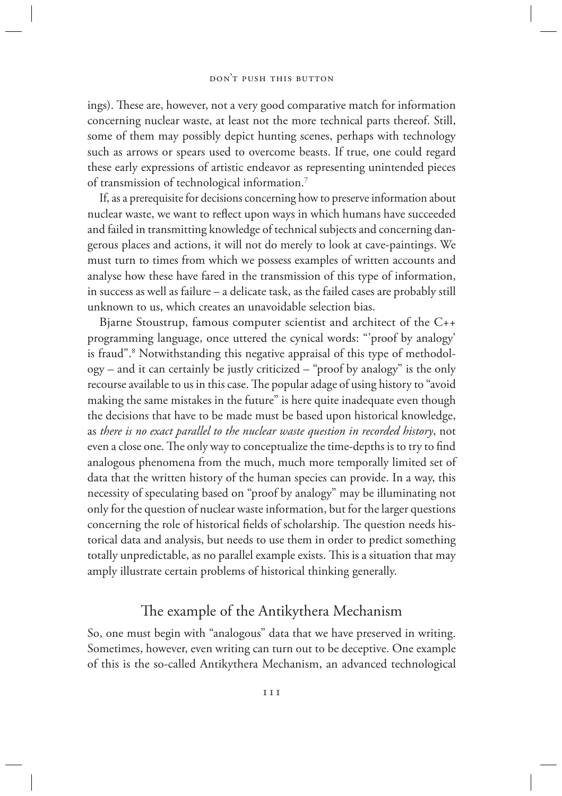ings). These are, however, not a very good comparative match for information concerning nuclear waste, at least not the more technical parts thereof. Still, some of them may possibly depict hunting scenes, perhaps with technology such as arrows or spears used to overcome beasts. If true, one could regard these early expressions of artistic endeavor as representing unintended pieces of transmission of technological information.7

If, as a prerequisite for decisions concerning how to preserve information about nuclear waste, we want to reflect upon ways in which humans have succeeded and failed in transmitting knowledge of technical subjects and concerning dangerous places and actions, it will not do merely to look at cave-paintings. We must turn to times from which we possess examples of written accounts and analyse how these have fared in the transmission of this type of information, in success as well as failure – a delicate task, as the failed cases are probably still unknown to us, which creates an unavoidable selection bias.

Bjarne Stoustrup, famous computer scientist and architect of the C++ programming language, once uttered the cynical words: "'proof by analogy' is fraud".<sup>8</sup> Notwithstanding this negative appraisal of this type of methodology – and it can certainly be justly criticized – "proof by analogy" is the only recourse available to us in this case. The popular adage of using history to "avoid making the same mistakes in the future" is here quite inadequate even though the decisions that have to be made must be based upon historical knowledge, as *there is no exact parallel to the nuclear waste question in recorded history*, not even a close one. The only way to conceptualize the time-depths is to try to find analogous phenomena from the much, much more temporally limited set of data that the written history of the human species can provide. In a way, this necessity of speculating based on "proof by analogy" may be illuminating not only for the question of nuclear waste information, but for the larger questions concerning the role of historical fields of scholarship. The question needs historical data and analysis, but needs to use them in order to predict something totally unpredictable, as no parallel example exists. This is a situation that may amply illustrate certain problems of historical thinking generally.

# The example of the Antikythera Mechanism

So, one must begin with "analogous" data that we have preserved in writing. Sometimes, however, even writing can turn out to be deceptive. One example of this is the so-called Antikythera Mechanism, an advanced technological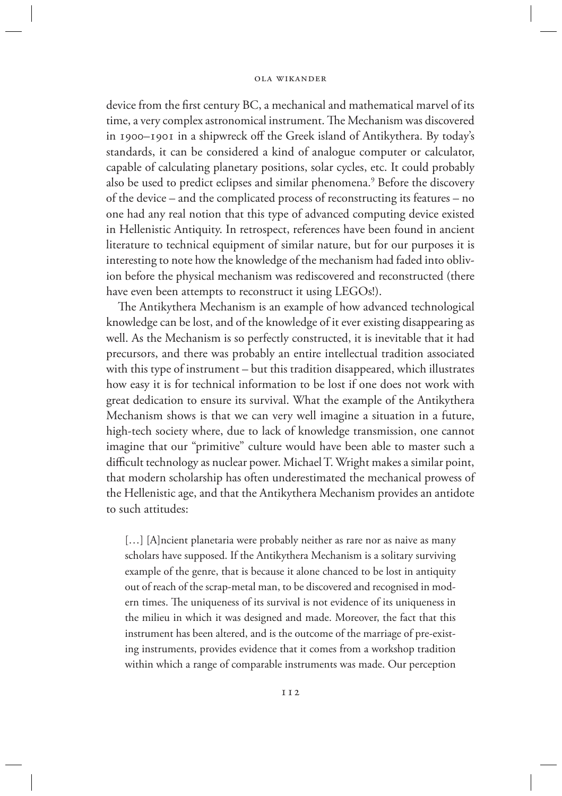device from the first century BC, a mechanical and mathematical marvel of its time, a very complex astronomical instrument. The Mechanism was discovered in 1900–1901 in a shipwreck off the Greek island of Antikythera. By today's standards, it can be considered a kind of analogue computer or calculator, capable of calculating planetary positions, solar cycles, etc. It could probably also be used to predict eclipses and similar phenomena.<sup>9</sup> Before the discovery of the device – and the complicated process of reconstructing its features – no one had any real notion that this type of advanced computing device existed in Hellenistic Antiquity. In retrospect, references have been found in ancient literature to technical equipment of similar nature, but for our purposes it is interesting to note how the knowledge of the mechanism had faded into oblivion before the physical mechanism was rediscovered and reconstructed (there have even been attempts to reconstruct it using LEGOs!).

The Antikythera Mechanism is an example of how advanced technological knowledge can be lost, and of the knowledge of it ever existing disappearing as well. As the Mechanism is so perfectly constructed, it is inevitable that it had precursors, and there was probably an entire intellectual tradition associated with this type of instrument – but this tradition disappeared, which illustrates how easy it is for technical information to be lost if one does not work with great dedication to ensure its survival. What the example of the Antikythera Mechanism shows is that we can very well imagine a situation in a future, high-tech society where, due to lack of knowledge transmission, one cannot imagine that our "primitive" culture would have been able to master such a difficult technology as nuclear power. Michael T. Wright makes a similar point, that modern scholarship has often underestimated the mechanical prowess of the Hellenistic age, and that the Antikythera Mechanism provides an antidote to such attitudes:

[...] [A]ncient planetaria were probably neither as rare nor as naive as many scholars have supposed. If the Antikythera Mechanism is a solitary surviving example of the genre, that is because it alone chanced to be lost in antiquity out of reach of the scrap-metal man, to be discovered and recognised in modern times. The uniqueness of its survival is not evidence of its uniqueness in the milieu in which it was designed and made. Moreover, the fact that this instrument has been altered, and is the outcome of the marriage of pre-existing instruments, provides evidence that it comes from a workshop tradition within which a range of comparable instruments was made. Our perception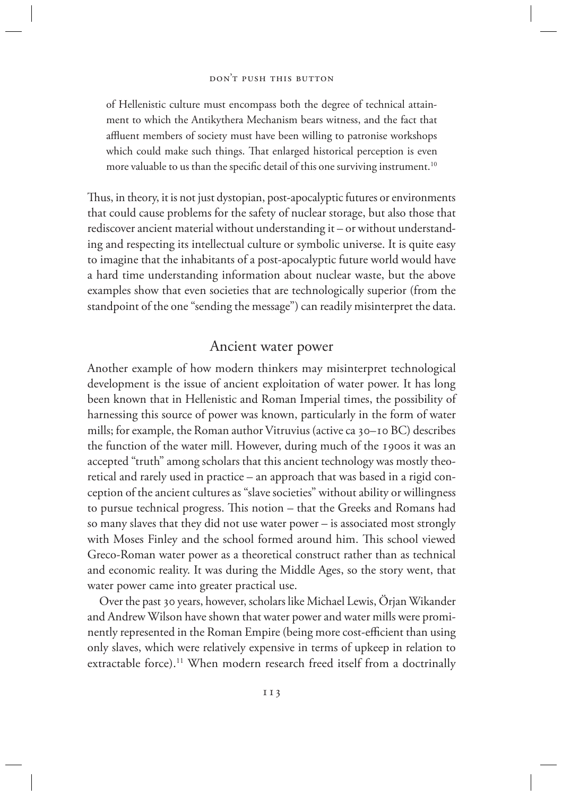### don't push this button

of Hellenistic culture must encompass both the degree of technical attainment to which the Antikythera Mechanism bears witness, and the fact that affluent members of society must have been willing to patronise workshops which could make such things. That enlarged historical perception is even more valuable to us than the specific detail of this one surviving instrument.<sup>10</sup>

Thus, in theory, it is not just dystopian, post-apocalyptic futures or environments that could cause problems for the safety of nuclear storage, but also those that rediscover ancient material without understanding it – or without understanding and respecting its intellectual culture or symbolic universe. It is quite easy to imagine that the inhabitants of a post-apocalyptic future world would have a hard time understanding information about nuclear waste, but the above examples show that even societies that are technologically superior (from the standpoint of the one "sending the message") can readily misinterpret the data.

# Ancient water power

Another example of how modern thinkers may misinterpret technological development is the issue of ancient exploitation of water power. It has long been known that in Hellenistic and Roman Imperial times, the possibility of harnessing this source of power was known, particularly in the form of water mills; for example, the Roman author Vitruvius (active ca 30–10 BC) describes the function of the water mill. However, during much of the 1900s it was an accepted "truth" among scholars that this ancient technology was mostly theoretical and rarely used in practice – an approach that was based in a rigid conception of the ancient cultures as "slave societies" without ability or willingness to pursue technical progress. This notion – that the Greeks and Romans had so many slaves that they did not use water power – is associated most strongly with Moses Finley and the school formed around him. This school viewed Greco-Roman water power as a theoretical construct rather than as technical and economic reality. It was during the Middle Ages, so the story went, that water power came into greater practical use.

Over the past 30 years, however, scholars like Michael Lewis, Örjan Wikander and Andrew Wilson have shown that water power and water mills were prominently represented in the Roman Empire (being more cost-efficient than using only slaves, which were relatively expensive in terms of upkeep in relation to extractable force).<sup>11</sup> When modern research freed itself from a doctrinally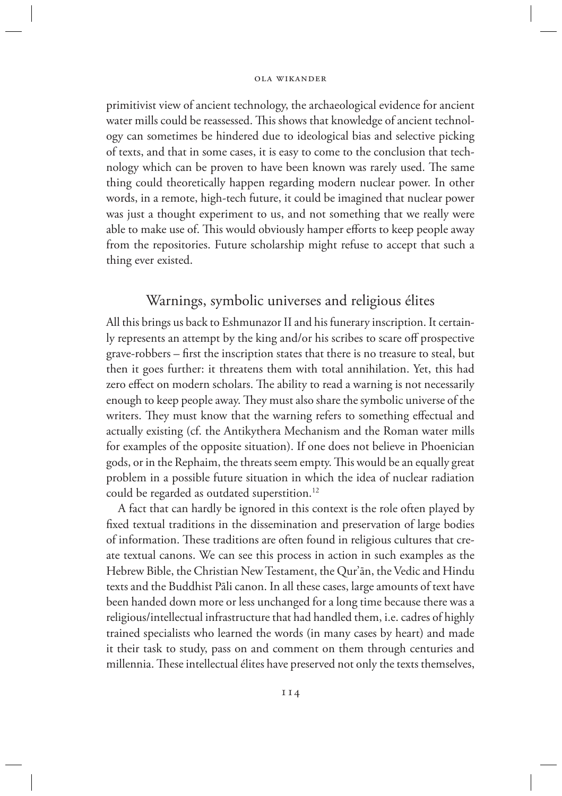primitivist view of ancient technology, the archaeological evidence for ancient water mills could be reassessed. This shows that knowledge of ancient technology can sometimes be hindered due to ideological bias and selective picking of texts, and that in some cases, it is easy to come to the conclusion that technology which can be proven to have been known was rarely used. The same thing could theoretically happen regarding modern nuclear power. In other words, in a remote, high-tech future, it could be imagined that nuclear power was just a thought experiment to us, and not something that we really were able to make use of. This would obviously hamper efforts to keep people away from the repositories. Future scholarship might refuse to accept that such a thing ever existed.

# Warnings, symbolic universes and religious élites

All this brings us back to Eshmunazor II and his funerary inscription. It certainly represents an attempt by the king and/or his scribes to scare off prospective grave-robbers – first the inscription states that there is no treasure to steal, but then it goes further: it threatens them with total annihilation. Yet, this had zero effect on modern scholars. The ability to read a warning is not necessarily enough to keep people away. They must also share the symbolic universe of the writers. They must know that the warning refers to something effectual and actually existing (cf. the Antikythera Mechanism and the Roman water mills for examples of the opposite situation). If one does not believe in Phoenician gods, or in the Rephaim, the threats seem empty. This would be an equally great problem in a possible future situation in which the idea of nuclear radiation could be regarded as outdated superstition.12

A fact that can hardly be ignored in this context is the role often played by fixed textual traditions in the dissemination and preservation of large bodies of information. These traditions are often found in religious cultures that create textual canons. We can see this process in action in such examples as the Hebrew Bible, the Christian New Testament, the Qur'ān, the Vedic and Hindu texts and the Buddhist Pāli canon. In all these cases, large amounts of text have been handed down more or less unchanged for a long time because there was a religious/intellectual infrastructure that had handled them, i.e. cadres of highly trained specialists who learned the words (in many cases by heart) and made it their task to study, pass on and comment on them through centuries and millennia. These intellectual élites have preserved not only the texts themselves,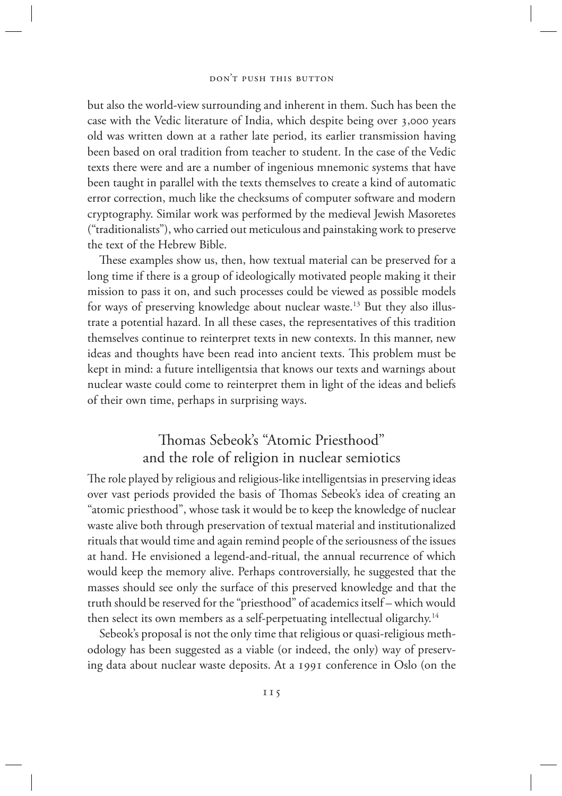but also the world-view surrounding and inherent in them. Such has been the case with the Vedic literature of India, which despite being over 3,000 years old was written down at a rather late period, its earlier transmission having been based on oral tradition from teacher to student. In the case of the Vedic texts there were and are a number of ingenious mnemonic systems that have been taught in parallel with the texts themselves to create a kind of automatic error correction, much like the checksums of computer software and modern cryptography. Similar work was performed by the medieval Jewish Masoretes ("traditionalists"), who carried out meticulous and painstaking work to preserve the text of the Hebrew Bible.

These examples show us, then, how textual material can be preserved for a long time if there is a group of ideologically motivated people making it their mission to pass it on, and such processes could be viewed as possible models for ways of preserving knowledge about nuclear waste.<sup>13</sup> But they also illustrate a potential hazard. In all these cases, the representatives of this tradition themselves continue to reinterpret texts in new contexts. In this manner, new ideas and thoughts have been read into ancient texts. This problem must be kept in mind: a future intelligentsia that knows our texts and warnings about nuclear waste could come to reinterpret them in light of the ideas and beliefs of their own time, perhaps in surprising ways.

# Thomas Sebeok's "Atomic Priesthood" and the role of religion in nuclear semiotics

The role played by religious and religious-like intelligentsias in preserving ideas over vast periods provided the basis of Thomas Sebeok's idea of creating an "atomic priesthood", whose task it would be to keep the knowledge of nuclear waste alive both through preservation of textual material and institutionalized rituals that would time and again remind people of the seriousness of the issues at hand. He envisioned a legend-and-ritual, the annual recurrence of which would keep the memory alive. Perhaps controversially, he suggested that the masses should see only the surface of this preserved knowledge and that the truth should be reserved for the "priesthood" of academics itself – which would then select its own members as a self-perpetuating intellectual oligarchy.<sup>14</sup>

Sebeok's proposal is not the only time that religious or quasi-religious methodology has been suggested as a viable (or indeed, the only) way of preserving data about nuclear waste deposits. At a 1991 conference in Oslo (on the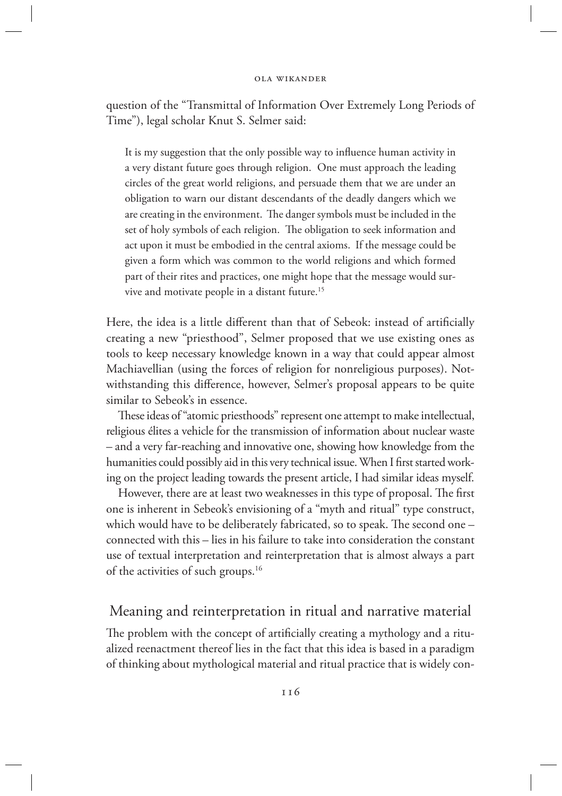question of the "Transmittal of Information Over Extremely Long Periods of Time"), legal scholar Knut S. Selmer said:

It is my suggestion that the only possible way to influence human activity in a very distant future goes through religion. One must approach the leading circles of the great world religions, and persuade them that we are under an obligation to warn our distant descendants of the deadly dangers which we are creating in the environment. The danger symbols must be included in the set of holy symbols of each religion. The obligation to seek information and act upon it must be embodied in the central axioms. If the message could be given a form which was common to the world religions and which formed part of their rites and practices, one might hope that the message would survive and motivate people in a distant future.15

Here, the idea is a little different than that of Sebeok: instead of artificially creating a new "priesthood", Selmer proposed that we use existing ones as tools to keep necessary knowledge known in a way that could appear almost Machiavellian (using the forces of religion for nonreligious purposes). Notwithstanding this difference, however, Selmer's proposal appears to be quite similar to Sebeok's in essence.

These ideas of "atomic priesthoods" represent one attempt to make intellectual, religious élites a vehicle for the transmission of information about nuclear waste – and a very far-reaching and innovative one, showing how knowledge from the humanities could possibly aid in this very technical issue. When I first started working on the project leading towards the present article, I had similar ideas myself.

However, there are at least two weaknesses in this type of proposal. The first one is inherent in Sebeok's envisioning of a "myth and ritual" type construct, which would have to be deliberately fabricated, so to speak. The second one – connected with this – lies in his failure to take into consideration the constant use of textual interpretation and reinterpretation that is almost always a part of the activities of such groups.16

### Meaning and reinterpretation in ritual and narrative material

The problem with the concept of artificially creating a mythology and a ritualized reenactment thereof lies in the fact that this idea is based in a paradigm of thinking about mythological material and ritual practice that is widely con-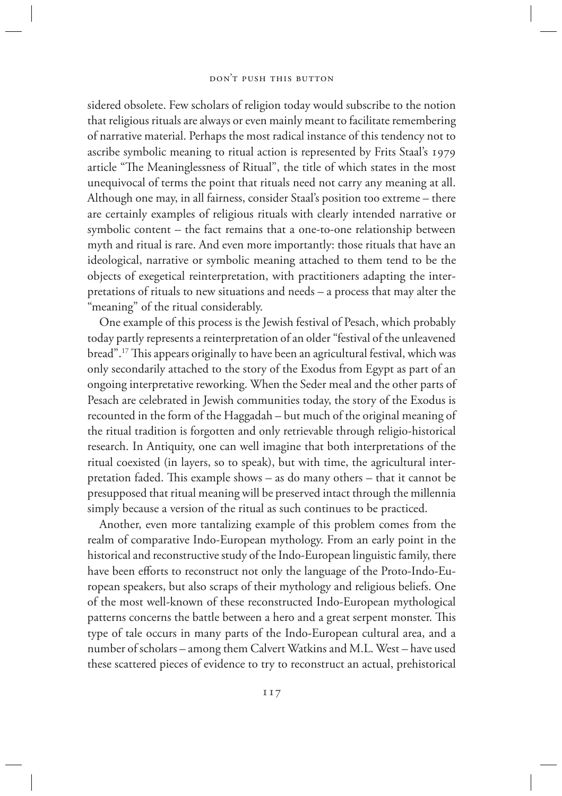### don't push this button

sidered obsolete. Few scholars of religion today would subscribe to the notion that religious rituals are always or even mainly meant to facilitate remembering of narrative material. Perhaps the most radical instance of this tendency not to ascribe symbolic meaning to ritual action is represented by Frits Staal's 1979 article "The Meaninglessness of Ritual", the title of which states in the most unequivocal of terms the point that rituals need not carry any meaning at all. Although one may, in all fairness, consider Staal's position too extreme – there are certainly examples of religious rituals with clearly intended narrative or symbolic content – the fact remains that a one-to-one relationship between myth and ritual is rare. And even more importantly: those rituals that have an ideological, narrative or symbolic meaning attached to them tend to be the objects of exegetical reinterpretation, with practitioners adapting the interpretations of rituals to new situations and needs – a process that may alter the "meaning" of the ritual considerably.

One example of this process is the Jewish festival of Pesach, which probably today partly represents a reinterpretation of an older "festival of the unleavened bread".17 This appears originally to have been an agricultural festival, which was only secondarily attached to the story of the Exodus from Egypt as part of an ongoing interpretative reworking. When the Seder meal and the other parts of Pesach are celebrated in Jewish communities today, the story of the Exodus is recounted in the form of the Haggadah – but much of the original meaning of the ritual tradition is forgotten and only retrievable through religio-historical research. In Antiquity, one can well imagine that both interpretations of the ritual coexisted (in layers, so to speak), but with time, the agricultural interpretation faded. This example shows – as do many others – that it cannot be presupposed that ritual meaning will be preserved intact through the millennia simply because a version of the ritual as such continues to be practiced.

Another, even more tantalizing example of this problem comes from the realm of comparative Indo-European mythology. From an early point in the historical and reconstructive study of the Indo-European linguistic family, there have been efforts to reconstruct not only the language of the Proto-Indo-European speakers, but also scraps of their mythology and religious beliefs. One of the most well-known of these reconstructed Indo-European mythological patterns concerns the battle between a hero and a great serpent monster. This type of tale occurs in many parts of the Indo-European cultural area, and a number of scholars – among them Calvert Watkins and M.L. West – have used these scattered pieces of evidence to try to reconstruct an actual, prehistorical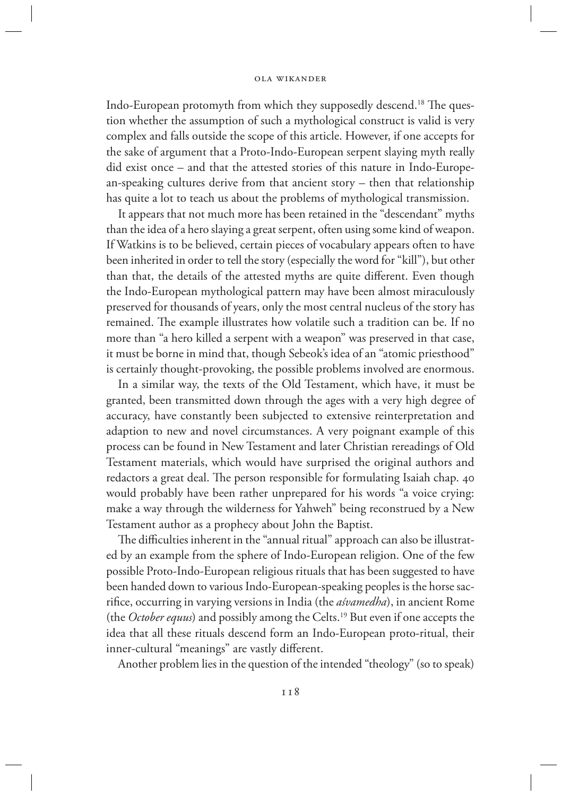Indo-European protomyth from which they supposedly descend.18 The question whether the assumption of such a mythological construct is valid is very complex and falls outside the scope of this article. However, if one accepts for the sake of argument that a Proto-Indo-European serpent slaying myth really did exist once – and that the attested stories of this nature in Indo-European-speaking cultures derive from that ancient story – then that relationship has quite a lot to teach us about the problems of mythological transmission.

It appears that not much more has been retained in the "descendant" myths than the idea of a hero slaying a great serpent, often using some kind of weapon. If Watkins is to be believed, certain pieces of vocabulary appears often to have been inherited in order to tell the story (especially the word for "kill"), but other than that, the details of the attested myths are quite different. Even though the Indo-European mythological pattern may have been almost miraculously preserved for thousands of years, only the most central nucleus of the story has remained. The example illustrates how volatile such a tradition can be. If no more than "a hero killed a serpent with a weapon" was preserved in that case, it must be borne in mind that, though Sebeok's idea of an "atomic priesthood" is certainly thought-provoking, the possible problems involved are enormous.

In a similar way, the texts of the Old Testament, which have, it must be granted, been transmitted down through the ages with a very high degree of accuracy, have constantly been subjected to extensive reinterpretation and adaption to new and novel circumstances. A very poignant example of this process can be found in New Testament and later Christian rereadings of Old Testament materials, which would have surprised the original authors and redactors a great deal. The person responsible for formulating Isaiah chap. 40 would probably have been rather unprepared for his words "a voice crying: make a way through the wilderness for Yahweh" being reconstrued by a New Testament author as a prophecy about John the Baptist.

The difficulties inherent in the "annual ritual" approach can also be illustrated by an example from the sphere of Indo-European religion. One of the few possible Proto-Indo-European religious rituals that has been suggested to have been handed down to various Indo-European-speaking peoples is the horse sacrifice, occurring in varying versions in India (the *aśvamedha*), in ancient Rome (the *October equus*) and possibly among the Celts.19 But even if one accepts the idea that all these rituals descend form an Indo-European proto-ritual, their inner-cultural "meanings" are vastly different.

Another problem lies in the question of the intended "theology" (so to speak)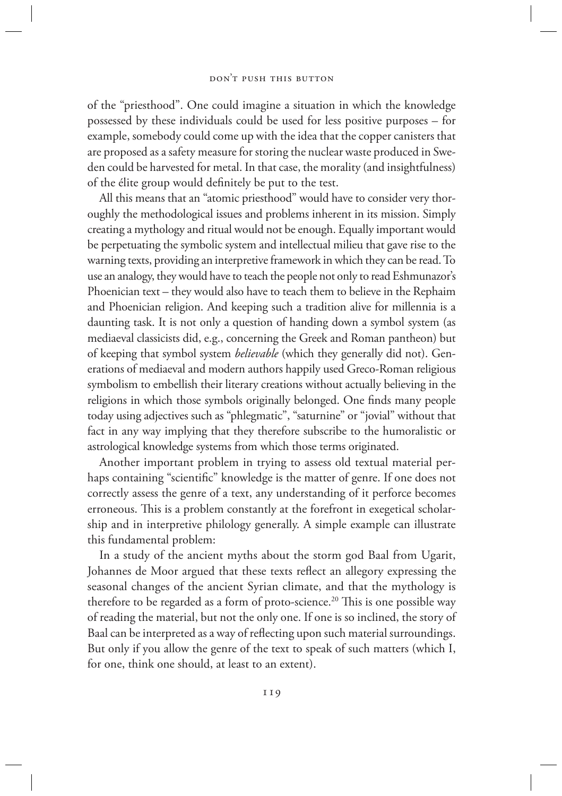### don't push this button

of the "priesthood". One could imagine a situation in which the knowledge possessed by these individuals could be used for less positive purposes – for example, somebody could come up with the idea that the copper canisters that are proposed as a safety measure for storing the nuclear waste produced in Sweden could be harvested for metal. In that case, the morality (and insightfulness) of the élite group would definitely be put to the test.

All this means that an "atomic priesthood" would have to consider very thoroughly the methodological issues and problems inherent in its mission. Simply creating a mythology and ritual would not be enough. Equally important would be perpetuating the symbolic system and intellectual milieu that gave rise to the warning texts, providing an interpretive framework in which they can be read. To use an analogy, they would have to teach the people not only to read Eshmunazor's Phoenician text – they would also have to teach them to believe in the Rephaim and Phoenician religion. And keeping such a tradition alive for millennia is a daunting task. It is not only a question of handing down a symbol system (as mediaeval classicists did, e.g., concerning the Greek and Roman pantheon) but of keeping that symbol system *believable* (which they generally did not). Generations of mediaeval and modern authors happily used Greco-Roman religious symbolism to embellish their literary creations without actually believing in the religions in which those symbols originally belonged. One finds many people today using adjectives such as "phlegmatic", "saturnine" or "jovial" without that fact in any way implying that they therefore subscribe to the humoralistic or astrological knowledge systems from which those terms originated.

Another important problem in trying to assess old textual material perhaps containing "scientific" knowledge is the matter of genre. If one does not correctly assess the genre of a text, any understanding of it perforce becomes erroneous. This is a problem constantly at the forefront in exegetical scholarship and in interpretive philology generally. A simple example can illustrate this fundamental problem:

In a study of the ancient myths about the storm god Baal from Ugarit, Johannes de Moor argued that these texts reflect an allegory expressing the seasonal changes of the ancient Syrian climate, and that the mythology is therefore to be regarded as a form of proto-science.<sup>20</sup> This is one possible way of reading the material, but not the only one. If one is so inclined, the story of Baal can be interpreted as a way of reflecting upon such material surroundings. But only if you allow the genre of the text to speak of such matters (which I, for one, think one should, at least to an extent).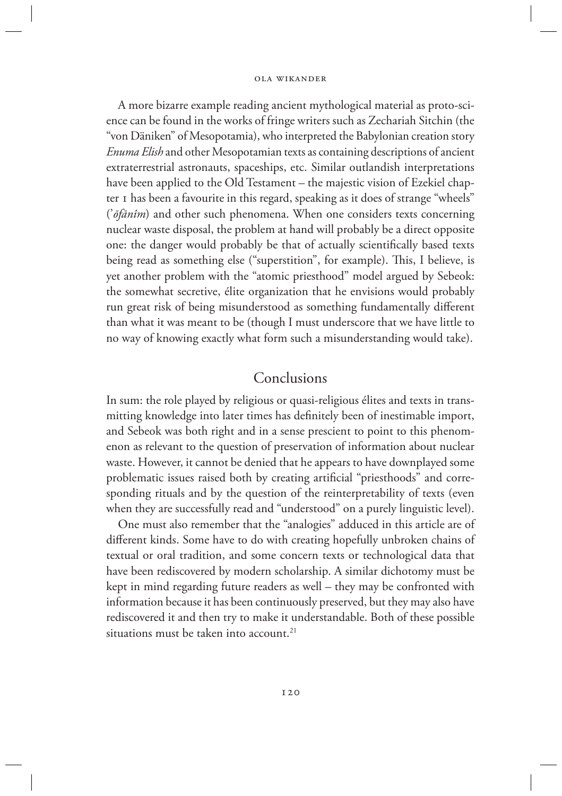A more bizarre example reading ancient mythological material as proto-science can be found in the works of fringe writers such as Zechariah Sitchin (the "von Däniken" of Mesopotamia), who interpreted the Babylonian creation story *Enuma Elish* and other Mesopotamian texts as containing descriptions of ancient extraterrestrial astronauts, spaceships, etc. Similar outlandish interpretations have been applied to the Old Testament – the majestic vision of Ezekiel chapter 1 has been a favourite in this regard, speaking as it does of strange "wheels" ('*ōfānîm*) and other such phenomena. When one considers texts concerning nuclear waste disposal, the problem at hand will probably be a direct opposite one: the danger would probably be that of actually scientifically based texts being read as something else ("superstition", for example). This, I believe, is yet another problem with the "atomic priesthood" model argued by Sebeok: the somewhat secretive, élite organization that he envisions would probably run great risk of being misunderstood as something fundamentally different than what it was meant to be (though I must underscore that we have little to no way of knowing exactly what form such a misunderstanding would take).

# Conclusions

In sum: the role played by religious or quasi-religious élites and texts in transmitting knowledge into later times has definitely been of inestimable import, and Sebeok was both right and in a sense prescient to point to this phenomenon as relevant to the question of preservation of information about nuclear waste. However, it cannot be denied that he appears to have downplayed some problematic issues raised both by creating artificial "priesthoods" and corresponding rituals and by the question of the reinterpretability of texts (even when they are successfully read and "understood" on a purely linguistic level).

One must also remember that the "analogies" adduced in this article are of different kinds. Some have to do with creating hopefully unbroken chains of textual or oral tradition, and some concern texts or technological data that have been rediscovered by modern scholarship. A similar dichotomy must be kept in mind regarding future readers as well – they may be confronted with information because it has been continuously preserved, but they may also have rediscovered it and then try to make it understandable. Both of these possible situations must be taken into account.<sup>21</sup>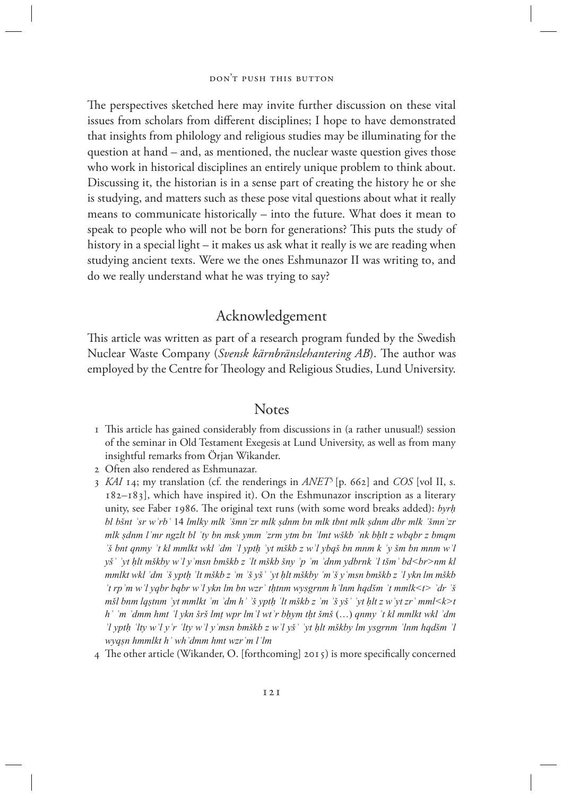The perspectives sketched here may invite further discussion on these vital issues from scholars from different disciplines; I hope to have demonstrated that insights from philology and religious studies may be illuminating for the question at hand – and, as mentioned, the nuclear waste question gives those who work in historical disciplines an entirely unique problem to think about. Discussing it, the historian is in a sense part of creating the history he or she is studying, and matters such as these pose vital questions about what it really means to communicate historically – into the future. What does it mean to speak to people who will not be born for generations? This puts the study of history in a special light – it makes us ask what it really is we are reading when studying ancient texts. Were we the ones Eshmunazor II was writing to, and do we really understand what he was trying to say?

# Acknowledgement

This article was written as part of a research program funded by the Swedish Nuclear Waste Company (*Svensk kärnbränslehantering AB*). The author was employed by the Centre for Theology and Religious Studies, Lund University.

### **Notes**

- 1 This article has gained considerably from discussions in (a rather unusual!) session of the seminar in Old Testament Exegesis at Lund University, as well as from many insightful remarks from Örjan Wikander.
- 2 Often also rendered as Eshmunazar.
- 3 *KAI* 14; my translation (cf. the renderings in *ANET*3 [p. 662] and *COS* [vol II, s. 182–183], which have inspired it). On the Eshmunazor inscription as a literary unity, see Faber 1986. The original text runs (with some word breaks added): *byrḥ bl bšnt ʿsr wʾrbʿ* 14 *lmlky mlk ʾšmnʿzr mlk ṣdnm bn mlk tbnt mlk ṣdnm dbr mlk ʾšmnʿzr mlk ṣdnm lʾmr ngzlt bl ʿty bn msk ymm ʾzrm ytm bn ʾlmt wškb ʾnk bḥlt z wbqbr z bmqm ʾš bnt qnmy ʾt kl mmlkt wkl ʾdm ʾl yptḥ ʾyt mškb z wʾl ybqš bn mnm k ʾy šm bn mnm wʾl yšʾ ʾyt ḥlt mškby wʾl yʿmsn bmškb z ʿlt mškb šny ʾp ʾm ʾdnm ydbrnk ʾl tšmʿ bd<br>nm kl mmlkt wkl ʾdm ʾš yptḥ ʿlt mškb z ʾm ʾš yšʾ ʾyt ḥlt mškby ʾmʾš yʿmsn bmškb z ʾl ykn lm mškb ʾt rpʾm wʾl yqbr bqbr wʾl ykn lm bn wzrʿ tḥtnm wysgrnm hʾlnm hqdšm ʾt mmlk<t> ʾdr ʾš mšl bnm lqṣtnm ʾyt mmlkt ʾm ʾdm hʾ ʾš yptḥ ʿlt mškb z ʾm ʾš yšʾ ʾyt ḥlt z wʾyt zrʿ mml<k>t hʾ ʾm ʾdmm hmt ʾl ykn šrš lmṭ wpr lmʿl wtʾr bḥym tḥt šmš* (…) *qnmy ʾt kl mmlkt wkl ʾdm ʾl yptḥ ʿlty wʾl yʿr ʿlty wʾl yʿmsn bmškb z wʾl yšʾ ʾyt ḥlt mškby lm ysgrnm ʾlnm hqdšm ʾl wyqṣn hmmlkt hʾ whʾdmm hmt wzrʿm lʿlm*
- 4 The other article (Wikander, O. [forthcoming] 2015) is more specifically concerned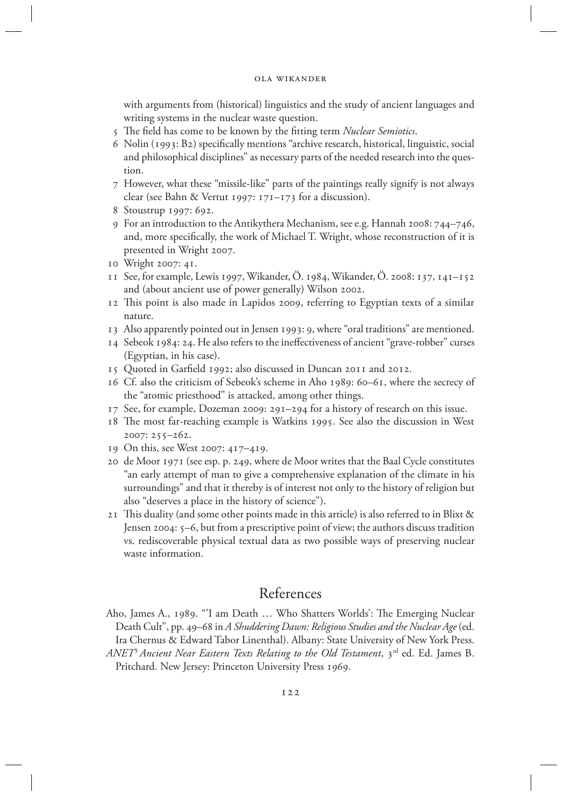with arguments from (historical) linguistics and the study of ancient languages and writing systems in the nuclear waste question.

- 5 The field has come to be known by the fitting term *Nuclear Semiotics*.
- 6 Nolin (1993: B2) specifically mentions "archive research, historical, linguistic, social and philosophical disciplines" as necessary parts of the needed research into the question.
- 7 However, what these "missile-like" parts of the paintings really signify is not always clear (see Bahn & Vertut 1997: 171–173 for a discussion).
- 8 Stoustrup 1997: 692.
- 9 For an introduction to the Antikythera Mechanism, see e.g. Hannah 2008: 744–746, and, more specifically, the work of Michael T. Wright, whose reconstruction of it is presented in Wright 2007.
- 10 Wright 2007: 41.
- 11 See, for example, Lewis 1997, Wikander, Ö. 1984, Wikander, Ö. 2008: 137, 141–152 and (about ancient use of power generally) Wilson 2002.
- 12 This point is also made in Lapidos 2009, referring to Egyptian texts of a similar nature.
- 13 Also apparently pointed out in Jensen 1993: 9, where "oral traditions" are mentioned.
- 14 Sebeok 1984: 24. He also refers to the ineffectiveness of ancient "grave-robber" curses (Egyptian, in his case).
- 15 Quoted in Garfield 1992; also discussed in Duncan 2011 and 2012.
- 16 Cf. also the criticism of Sebeok's scheme in Aho 1989: 60–61, where the secrecy of the "atomic priesthood" is attacked, among other things.
- 17 See, for example, Dozeman 2009: 291–294 for a history of research on this issue.
- 18 The most far-reaching example is Watkins 1995. See also the discussion in West 2007: 255–262.
- 19 On this, see West 2007: 417–419.
- 20 de Moor 1971 (see esp. p. 249, where de Moor writes that the Baal Cycle constitutes "an early attempt of man to give a comprehensive explanation of the climate in his surroundings" and that it thereby is of interest not only to the history of religion but also "deserves a place in the history of science").
- 21 This duality (and some other points made in this article) is also referred to in Blixt & Jensen 2004: 5–6, but from a prescriptive point of view; the authors discuss tradition vs. rediscoverable physical textual data as two possible ways of preserving nuclear waste information.

## References

- Aho, James A., 1989. "'I am Death … Who Shatters Worlds': The Emerging Nuclear Death Cult", pp. 49–68 in *A Shuddering Dawn: Religious Studies and the Nuclear Age* (ed. Ira Chernus & Edward Tabor Linenthal). Albany: State University of New York Press.
- *ANET<sup>3</sup> Ancient Near Eastern Texts Relating to the Old Testament*, 3<sup>rd</sup> ed. Ed. James B. Pritchard. New Jersey: Princeton University Press 1969.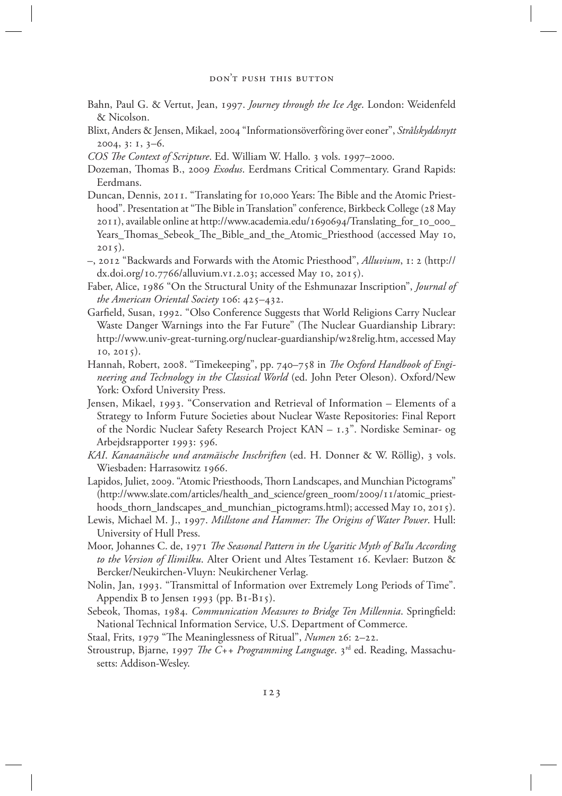- Bahn, Paul G. & Vertut, Jean, 1997. *Journey through the Ice Age*. London: Weidenfeld & Nicolson.
- Blixt, Anders & Jensen, Mikael, 2004 "Informationsöverföring över eoner", *Strålskyddsnytt*  2004, 3: 1, 3–6.
- *COS The Context of Scripture*. Ed. William W. Hallo. 3 vols. 1997–2000.
- Dozeman, Thomas B., 2009 *Exodus*. Eerdmans Critical Commentary. Grand Rapids: Eerdmans.
- Duncan, Dennis, 2011. "Translating for 10,000 Years: The Bible and the Atomic Priesthood". Presentation at "The Bible in Translation" conference, Birkbeck College (28 May 2011), available online at http://www.academia.edu/1690694/Translating\_for\_10\_000\_ Years\_Thomas\_Sebeok\_The\_Bible\_and\_the\_Atomic\_Priesthood (accessed May 10, 2015).
- –, 2012 "Backwards and Forwards with the Atomic Priesthood", *Alluvium*, 1: 2 (http:// dx.doi.org/10.7766/alluvium.v1.2.03; accessed May 10, 2015).
- Faber, Alice, 1986 "On the Structural Unity of the Eshmunazar Inscription", *Journal of the American Oriental Society* 106: 425–432.
- Garfield, Susan, 1992. "Olso Conference Suggests that World Religions Carry Nuclear Waste Danger Warnings into the Far Future" (The Nuclear Guardianship Library: http://www.univ-great-turning.org/nuclear-guardianship/w28relig.htm, accessed May 10, 2015).
- Hannah, Robert, 2008. "Timekeeping", pp. 740–758 in *The Oxford Handbook of Engineering and Technology in the Classical World* (ed. John Peter Oleson). Oxford/New York: Oxford University Press.
- Jensen, Mikael, 1993. "Conservation and Retrieval of Information Elements of a Strategy to Inform Future Societies about Nuclear Waste Repositories: Final Report of the Nordic Nuclear Safety Research Project KAN – 1.3". Nordiske Seminar- og Arbejdsrapporter 1993: 596.
- *KAI*. *Kanaanäische und aramäische Inschriften* (ed. H. Donner & W. Röllig), 3 vols. Wiesbaden: Harrasowitz 1966.
- Lapidos, Juliet, 2009. "Atomic Priesthoods, Thorn Landscapes, and Munchian Pictograms" (http://www.slate.com/articles/health\_and\_science/green\_room/2009/11/atomic\_priesthoods\_thorn\_landscapes\_and\_munchian\_pictograms.html); accessed May 10, 2015).
- Lewis, Michael M. J., 1997. *Millstone and Hammer: The Origins of Water Power*. Hull: University of Hull Press.
- Moor, Johannes C. de, 1971 *The Seasonal Pattern in the Ugaritic Myth of Ba'lu According to the Version of Ilimilku*. Alter Orient und Altes Testament 16. Kevlaer: Butzon & Bercker/Neukirchen-Vluyn: Neukirchener Verlag.
- Nolin, Jan, 1993. "Transmittal of Information over Extremely Long Periods of Time". Appendix B to Jensen 1993 (pp. B1-B15).
- Sebeok, Thomas, 1984. *Communication Measures to Bridge Ten Millennia*. Springfield: National Technical Information Service, U.S. Department of Commerce.
- Staal, Frits, 1979 "The Meaninglessness of Ritual", *Numen* 26: 2–22.
- Stroustrup, Bjarne, 1997 *The C++ Programming Language*. 3rd ed. Reading, Massachusetts: Addison-Wesley.